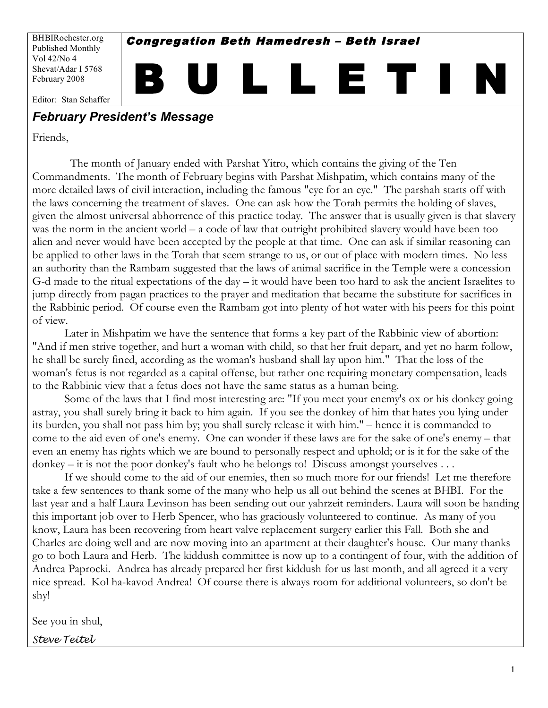BHBIRochester.org Published Monthly Vol 42/No 4 Shevat/Adar I 5768 February 2008

Congregation Beth Hamedresh – Beth Israel

B U L L E T I N

Editor: Stan Schaffer

### *February President's Message*

Friends,

 The month of January ended with Parshat Yitro, which contains the giving of the Ten Commandments. The month of February begins with Parshat Mishpatim, which contains many of the more detailed laws of civil interaction, including the famous "eye for an eye." The parshah starts off with the laws concerning the treatment of slaves. One can ask how the Torah permits the holding of slaves, given the almost universal abhorrence of this practice today. The answer that is usually given is that slavery was the norm in the ancient world – a code of law that outright prohibited slavery would have been too alien and never would have been accepted by the people at that time. One can ask if similar reasoning can be applied to other laws in the Torah that seem strange to us, or out of place with modern times. No less an authority than the Rambam suggested that the laws of animal sacrifice in the Temple were a concession G-d made to the ritual expectations of the day – it would have been too hard to ask the ancient Israelites to jump directly from pagan practices to the prayer and meditation that became the substitute for sacrifices in the Rabbinic period. Of course even the Rambam got into plenty of hot water with his peers for this point of view.

Later in Mishpatim we have the sentence that forms a key part of the Rabbinic view of abortion: "And if men strive together, and hurt a woman with child, so that her fruit depart, and yet no harm follow, he shall be surely fined, according as the woman's husband shall lay upon him." That the loss of the woman's fetus is not regarded as a capital offense, but rather one requiring monetary compensation, leads to the Rabbinic view that a fetus does not have the same status as a human being.

Some of the laws that I find most interesting are: "If you meet your enemy's ox or his donkey going astray, you shall surely bring it back to him again. If you see the donkey of him that hates you lying under its burden, you shall not pass him by; you shall surely release it with him." – hence it is commanded to come to the aid even of one's enemy. One can wonder if these laws are for the sake of one's enemy – that even an enemy has rights which we are bound to personally respect and uphold; or is it for the sake of the donkey – it is not the poor donkey's fault who he belongs to! Discuss amongst yourselves . . .

If we should come to the aid of our enemies, then so much more for our friends! Let me therefore take a few sentences to thank some of the many who help us all out behind the scenes at BHBI. For the last year and a half Laura Levinson has been sending out our yahrzeit reminders. Laura will soon be handing this important job over to Herb Spencer, who has graciously volunteered to continue. As many of you know, Laura has been recovering from heart valve replacement surgery earlier this Fall. Both she and Charles are doing well and are now moving into an apartment at their daughter's house. Our many thanks go to both Laura and Herb. The kiddush committee is now up to a contingent of four, with the addition of Andrea Paprocki. Andrea has already prepared her first kiddush for us last month, and all agreed it a very nice spread. Kol ha-kavod Andrea! Of course there is always room for additional volunteers, so don't be shy!

See you in shul,

*Steve Teitel*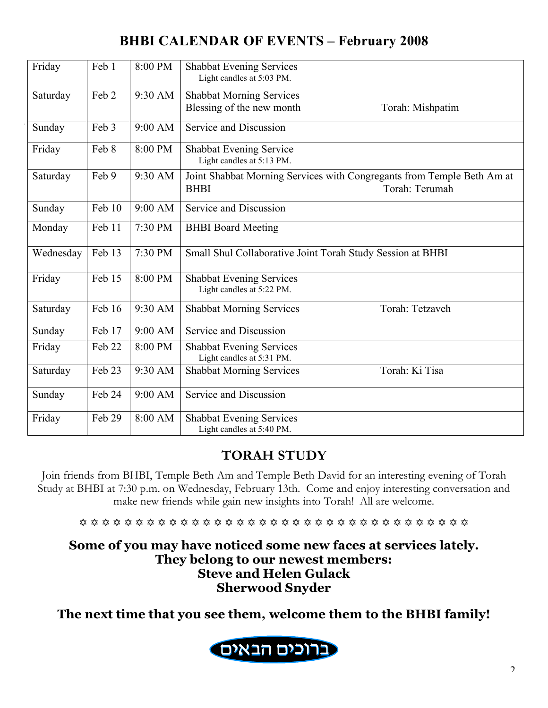# **BHBI CALENDAR OF EVENTS – February 2008**

| Friday    | Feb 1  | 8:00 PM | <b>Shabbat Evening Services</b><br>Light candles at 5:03 PM. |                                                                        |
|-----------|--------|---------|--------------------------------------------------------------|------------------------------------------------------------------------|
| Saturday  | Feb 2  | 9:30 AM | <b>Shabbat Morning Services</b>                              |                                                                        |
|           |        |         | Blessing of the new month                                    | Torah: Mishpatim                                                       |
|           |        |         |                                                              |                                                                        |
| Sunday    | Feb 3  | 9:00 AM | Service and Discussion                                       |                                                                        |
| Friday    | Feb 8  | 8:00 PM | Shabbat Evening Service<br>Light candles at 5:13 PM.         |                                                                        |
| Saturday  | Feb 9  | 9:30 AM |                                                              | Joint Shabbat Morning Services with Congregants from Temple Beth Am at |
|           |        |         | <b>BHBI</b>                                                  | Torah: Terumah                                                         |
| Sunday    | Feb 10 | 9:00 AM | Service and Discussion                                       |                                                                        |
| Monday    | Feb 11 | 7:30 PM | <b>BHBI</b> Board Meeting                                    |                                                                        |
| Wednesday | Feb 13 | 7:30 PM | Small Shul Collaborative Joint Torah Study Session at BHBI   |                                                                        |
| Friday    | Feb 15 | 8:00 PM | <b>Shabbat Evening Services</b>                              |                                                                        |
|           |        |         | Light candles at 5:22 PM.                                    |                                                                        |
| Saturday  | Feb 16 | 9:30 AM | <b>Shabbat Morning Services</b>                              | Torah: Tetzaveh                                                        |
| Sunday    | Feb 17 | 9:00 AM | Service and Discussion                                       |                                                                        |
| Friday    | Feb 22 | 8:00 PM | <b>Shabbat Evening Services</b><br>Light candles at 5:31 PM. |                                                                        |
| Saturday  | Feb 23 | 9:30 AM | <b>Shabbat Morning Services</b>                              | Torah: Ki Tisa                                                         |
| Sunday    | Feb 24 | 9:00 AM | Service and Discussion                                       |                                                                        |
| Friday    | Feb 29 | 8:00 AM | <b>Shabbat Evening Services</b>                              |                                                                        |
|           |        |         | Light candles at 5:40 PM.                                    |                                                                        |

# **TORAH STUDY**

Join friends from BHBI, Temple Beth Am and Temple Beth David for an interesting evening of Torah Study at BHBI at 7:30 p.m. on Wednesday, February 13th. Come and enjoy interesting conversation and make new friends while gain new insights into Torah! All are welcome.

\*\*\*\*\*\*\*\*\*\*\*\*\*\*\*\*\*\*\*\*\*\*\*\*\*\*\*\*\*\*\*\*\*\*\*\*\*

**Some of you may have noticed some new faces at services lately. They belong to our newest members: Steve and Helen Gulack Sherwood Snyder**

**The next time that you see them, welcome them to the BHBI family!**

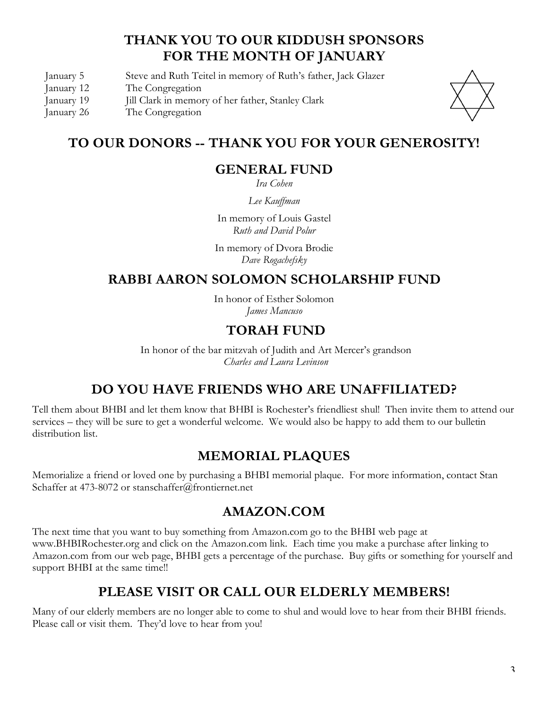## **THANK YOU TO OUR KIDDUSH SPONSORS FOR THE MONTH OF JANUARY**

January 5 Steve and Ruth Teitel in memory of Ruth's father, Jack Glazer

- January 12 The Congregation
- January 19 Jill Clark in memory of her father, Stanley Clark
- January 26 The Congregation



## **TO OUR DONORS -- THANK YOU FOR YOUR GENEROSITY!**

## **GENERAL FUND**

*Ira Cohen*

*Lee Kauffman*

In memory of Louis Gastel *Ruth and David Polur*

In memory of Dvora Brodie *Dave Rogachefsky*

## **RABBI AARON SOLOMON SCHOLARSHIP FUND**

In honor of Esther Solomon *James Mancuso*

## **TORAH FUND**

In honor of the bar mitzvah of Judith and Art Mercer's grandson *Charles and Laura Levinson*

## **DO YOU HAVE FRIENDS WHO ARE UNAFFILIATED?**

Tell them about BHBI and let them know that BHBI is Rochester's friendliest shul! Then invite them to attend our services – they will be sure to get a wonderful welcome. We would also be happy to add them to our bulletin distribution list.

## **MEMORIAL PLAQUES**

Memorialize a friend or loved one by purchasing a BHBI memorial plaque. For more information, contact Stan Schaffer at 473-8072 or stanschaffer@frontiernet.net

### **AMAZON.COM**

The next time that you want to buy something from Amazon.com go to the BHBI web page at www.BHBIRochester.org and click on the Amazon.com link. Each time you make a purchase after linking to Amazon.com from our web page, BHBI gets a percentage of the purchase. Buy gifts or something for yourself and support BHBI at the same time!!

## **PLEASE VISIT OR CALL OUR ELDERLY MEMBERS!**

Many of our elderly members are no longer able to come to shul and would love to hear from their BHBI friends. Please call or visit them. They'd love to hear from you!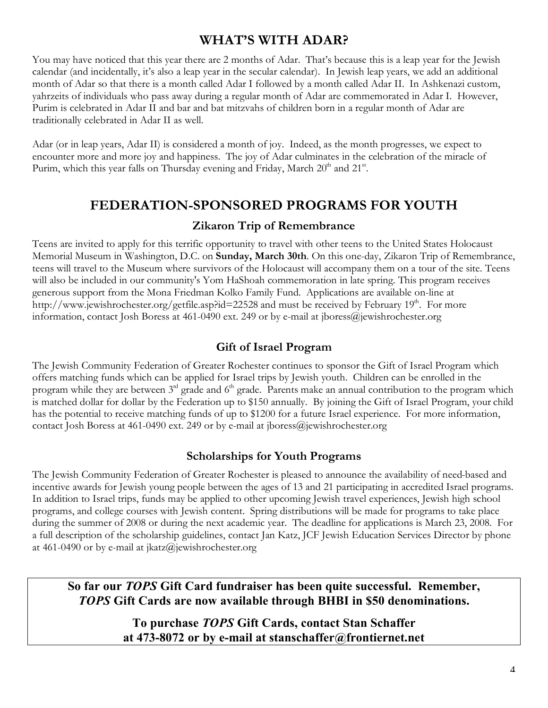## **WHAT'S WITH ADAR?**

You may have noticed that this year there are 2 months of Adar. That's because this is a leap year for the Jewish calendar (and incidentally, it's also a leap year in the secular calendar). In Jewish leap years, we add an additional month of Adar so that there is a month called Adar I followed by a month called Adar II. In Ashkenazi custom, yahrzeits of individuals who pass away during a regular month of Adar are commemorated in Adar I. However, Purim is celebrated in Adar II and bar and bat mitzvahs of children born in a regular month of Adar are traditionally celebrated in Adar II as well.

Adar (or in leap years, Adar II) is considered a month of joy. Indeed, as the month progresses, we expect to encounter more and more joy and happiness. The joy of Adar culminates in the celebration of the miracle of Purim, which this year falls on Thursday evening and Friday, March  $20^{th}$  and  $21^{st}$ .

## **FEDERATION-SPONSORED PROGRAMS FOR YOUTH**

#### **Zikaron Trip of Remembrance**

Teens are invited to apply for this terrific opportunity to travel with other teens to the United States Holocaust Memorial Museum in Washington, D.C. on **Sunday, March 30th**. On this one-day, Zikaron Trip of Remembrance, teens will travel to the Museum where survivors of the Holocaust will accompany them on a tour of the site. Teens will also be included in our community's Yom HaShoah commemoration in late spring. This program receives generous support from the Mona Friedman Kolko Family Fund. Applications are available on-line at http://www.jewishrochester.org/getfile.asp?id=22528 and must be received by February 19<sup>th</sup>. For more information, contact Josh Boress at 461-0490 ext. 249 or by e-mail at jboress@jewishrochester.org

### **Gift of Israel Program**

The Jewish Community Federation of Greater Rochester continues to sponsor the Gift of Israel Program which offers matching funds which can be applied for Israel trips by Jewish youth. Children can be enrolled in the program while they are between  $3<sup>rd</sup>$  grade and  $6<sup>th</sup>$  grade. Parents make an annual contribution to the program which is matched dollar for dollar by the Federation up to \$150 annually. By joining the Gift of Israel Program, your child has the potential to receive matching funds of up to \$1200 for a future Israel experience. For more information, contact Josh Boress at 461-0490 ext. 249 or by e-mail at jboress@jewishrochester.org

#### **Scholarships for Youth Programs**

The Jewish Community Federation of Greater Rochester is pleased to announce the availability of need-based and incentive awards for Jewish young people between the ages of 13 and 21 participating in accredited Israel programs. In addition to Israel trips, funds may be applied to other upcoming Jewish travel experiences, Jewish high school programs, and college courses with Jewish content. Spring distributions will be made for programs to take place during the summer of 2008 or during the next academic year. The deadline for applications is March 23, 2008. For a full description of the scholarship guidelines, contact Jan Katz, JCF Jewish Education Services Director by phone at 461-0490 or by e-mail at jkatz@jewishrochester.org

**So far our** *TOPS* **Gift Card fundraiser has been quite successful. Remember,**  *TOPS* **Gift Cards are now available through BHBI in \$50 denominations.** 

> **To purchase** *TOPS* **Gift Cards, contact Stan Schaffer at 473-8072 or by e-mail at stanschaffer@frontiernet.net**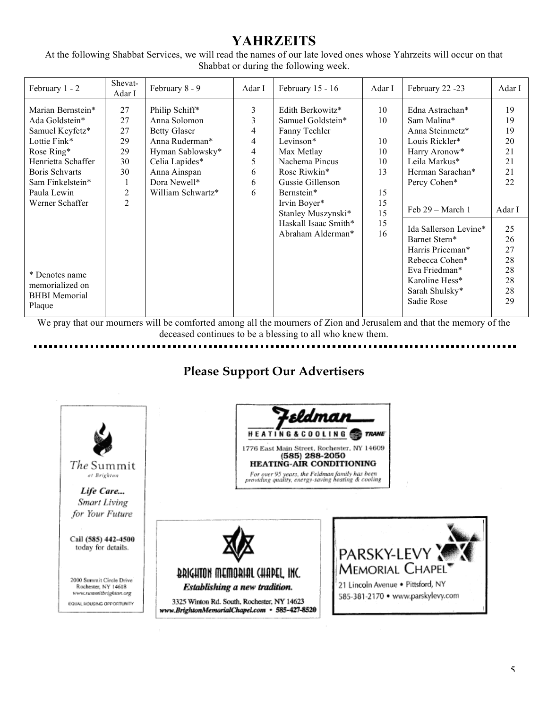## **YAHRZEITS**

At the following Shabbat Services, we will read the names of our late loved ones whose Yahrzeits will occur on that Shabbat or during the following week.

We pray that our mourners will be comforted among all the mourners of Zion and Jerusalem and that the memory of the deceased continues to be a blessing to all who knew them.

## **Please Support Our Advertisers**